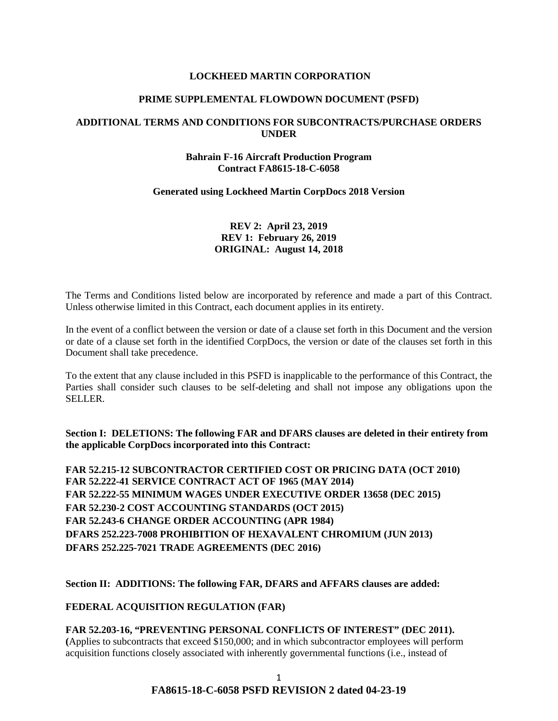### **LOCKHEED MARTIN CORPORATION**

#### **PRIME SUPPLEMENTAL FLOWDOWN DOCUMENT (PSFD)**

### **ADDITIONAL TERMS AND CONDITIONS FOR SUBCONTRACTS/PURCHASE ORDERS UNDER**

### **Bahrain F-16 Aircraft Production Program Contract FA8615-18-C-6058**

#### **Generated using Lockheed Martin CorpDocs 2018 Version**

# **REV 2: April 23, 2019 REV 1: February 26, 2019 ORIGINAL: August 14, 2018**

The Terms and Conditions listed below are incorporated by reference and made a part of this Contract. Unless otherwise limited in this Contract, each document applies in its entirety.

In the event of a conflict between the version or date of a clause set forth in this Document and the version or date of a clause set forth in the identified CorpDocs, the version or date of the clauses set forth in this Document shall take precedence.

To the extent that any clause included in this PSFD is inapplicable to the performance of this Contract, the Parties shall consider such clauses to be self-deleting and shall not impose any obligations upon the SELLER.

**Section I: DELETIONS: The following FAR and DFARS clauses are deleted in their entirety from the applicable CorpDocs incorporated into this Contract:** 

**FAR 52.215-12 SUBCONTRACTOR CERTIFIED COST OR PRICING DATA (OCT 2010) FAR 52.222-41 SERVICE CONTRACT ACT OF 1965 (MAY 2014) FAR 52.222-55 MINIMUM WAGES UNDER EXECUTIVE ORDER 13658 (DEC 2015) FAR 52.230-2 COST ACCOUNTING STANDARDS (OCT 2015) FAR 52.243-6 CHANGE ORDER ACCOUNTING (APR 1984) DFARS 252.223-7008 PROHIBITION OF HEXAVALENT CHROMIUM (JUN 2013) DFARS 252.225-7021 TRADE AGREEMENTS (DEC 2016)** 

**Section II: ADDITIONS: The following FAR, DFARS and AFFARS clauses are added:**

**[FEDERAL ACQUISITION REGULATION \(FAR\)](https://www.acquisition.gov/browsefar)** 

**FAR 52.203-16, "PREVENTING PERSONAL CONFLICTS OF INTEREST" (DEC 2011). (**Applies to subcontracts that exceed \$150,000; and in which subcontractor employees will perform acquisition functions closely associated with inherently governmental functions (i.e., instead of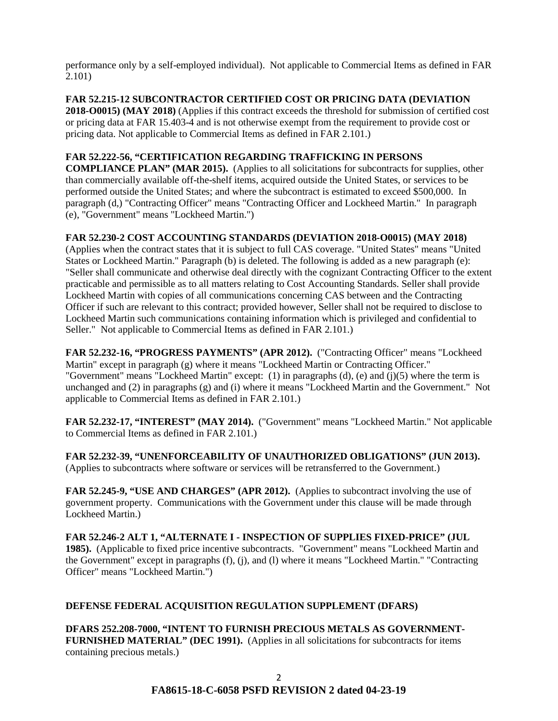performance only by a self-employed individual). Not applicable to Commercial Items as defined in FAR 2.101)

**FAR 52.215-12 SUBCONTRACTOR CERTIFIED COST OR PRICING DATA (DEVIATION 2018-O0015) (MAY 2018)** (Applies if this contract exceeds the threshold for submission of certified cost or pricing data at FAR 15.403-4 and is not otherwise exempt from the requirement to provide cost or pricing data. Not applicable to Commercial Items as defined in FAR 2.101.)

## **FAR 52.222-56, "CERTIFICATION REGARDING TRAFFICKING IN PERSONS**

**COMPLIANCE PLAN" (MAR 2015).** (Applies to all solicitations for subcontracts for supplies, other than commercially available off-the-shelf items, acquired outside the United States, or services to be performed outside the United States; and where the subcontract is estimated to exceed \$500,000. In paragraph (d,) "Contracting Officer" means "Contracting Officer and Lockheed Martin." In paragraph (e), "Government" means "Lockheed Martin.")

## **FAR 52.230-2 COST ACCOUNTING STANDARDS (DEVIATION 2018-O0015) (MAY 2018)**

(Applies when the contract states that it is subject to full CAS coverage. "United States" means "United States or Lockheed Martin." Paragraph (b) is deleted. The following is added as a new paragraph (e): "Seller shall communicate and otherwise deal directly with the cognizant Contracting Officer to the extent practicable and permissible as to all matters relating to Cost Accounting Standards. Seller shall provide Lockheed Martin with copies of all communications concerning CAS between and the Contracting Officer if such are relevant to this contract; provided however, Seller shall not be required to disclose to Lockheed Martin such communications containing information which is privileged and confidential to Seller." Not applicable to Commercial Items as defined in FAR 2.101.)

**FAR 52.232-16, "PROGRESS PAYMENTS" (APR 2012).** ("Contracting Officer" means "Lockheed Martin" except in paragraph (g) where it means "Lockheed Martin or Contracting Officer." "Government" means "Lockheed Martin" except: (1) in paragraphs (d), (e) and (j)(5) where the term is unchanged and (2) in paragraphs (g) and (i) where it means "Lockheed Martin and the Government." Not applicable to Commercial Items as defined in FAR 2.101.)

**FAR 52.232-17, "INTEREST" (MAY 2014).** ("Government" means "Lockheed Martin." Not applicable to Commercial Items as defined in FAR 2.101.)

**FAR 52.232-39, "UNENFORCEABILITY OF UNAUTHORIZED OBLIGATIONS" (JUN 2013).** (Applies to subcontracts where software or services will be retransferred to the Government.)

**FAR 52.245-9, "USE AND CHARGES" (APR 2012).** (Applies to subcontract involving the use of government property. Communications with the Government under this clause will be made through Lockheed Martin.)

**FAR 52.246-2 ALT 1, "ALTERNATE I - INSPECTION OF SUPPLIES FIXED-PRICE" (JUL 1985).** (Applicable to fixed price incentive subcontracts. "Government" means "Lockheed Martin and the Government" except in paragraphs (f), (j), and (l) where it means "Lockheed Martin." "Contracting Officer" means "Lockheed Martin.")

# **DEFENSE FEDERAL ACQUISITION REGULATION SUPPLEMENT (DFARS)**

**DFARS 252.208-7000, "INTENT TO FURNISH PRECIOUS METALS AS GOVERNMENT-FURNISHED MATERIAL" (DEC 1991).** (Applies in all solicitations for subcontracts for items containing precious metals.)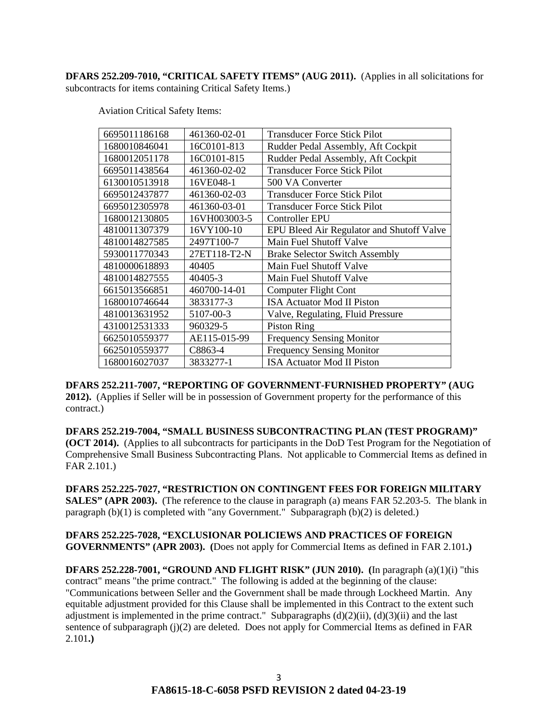**DFARS 252.209-7010, "CRITICAL SAFETY ITEMS" (AUG 2011).** (Applies in all solicitations for subcontracts for items containing Critical Safety Items.)

Aviation Critical Safety Items:

| 6695011186168 | 461360-02-01 | Transducer Force Stick Pilot              |
|---------------|--------------|-------------------------------------------|
| 1680010846041 | 16C0101-813  | Rudder Pedal Assembly, Aft Cockpit        |
| 1680012051178 | 16C0101-815  | Rudder Pedal Assembly, Aft Cockpit        |
| 6695011438564 | 461360-02-02 | <b>Transducer Force Stick Pilot</b>       |
| 6130010513918 | 16VE048-1    | 500 VA Converter                          |
| 6695012437877 | 461360-02-03 | <b>Transducer Force Stick Pilot</b>       |
| 6695012305978 | 461360-03-01 | <b>Transducer Force Stick Pilot</b>       |
| 1680012130805 | 16VH003003-5 | Controller EPU                            |
| 4810011307379 | 16VY100-10   | EPU Bleed Air Regulator and Shutoff Valve |
| 4810014827585 | 2497T100-7   | Main Fuel Shutoff Valve                   |
| 5930011770343 | 27ET118-T2-N | <b>Brake Selector Switch Assembly</b>     |
| 4810000618893 | 40405        | Main Fuel Shutoff Valve                   |
| 4810014827555 | 40405-3      | Main Fuel Shutoff Valve                   |
| 6615013566851 | 460700-14-01 | Computer Flight Cont                      |
| 1680010746644 | 3833177-3    | <b>ISA Actuator Mod II Piston</b>         |
| 4810013631952 | 5107-00-3    | Valve, Regulating, Fluid Pressure         |
| 4310012531333 | 960329-5     | <b>Piston Ring</b>                        |
| 6625010559377 | AE115-015-99 | <b>Frequency Sensing Monitor</b>          |
| 6625010559377 | C8863-4      | <b>Frequency Sensing Monitor</b>          |
| 1680016027037 | 3833277-1    | <b>ISA Actuator Mod II Piston</b>         |
|               |              |                                           |

**DFARS 252.211-7007, "REPORTING OF GOVERNMENT-FURNISHED PROPERTY" (AUG 2012).** (Applies if Seller will be in possession of Government property for the performance of this contract.)

**DFARS 252.219-7004, "SMALL BUSINESS SUBCONTRACTING PLAN (TEST PROGRAM)" (OCT 2014).** (Applies to all subcontracts for participants in the DoD Test Program for the Negotiation of Comprehensive Small Business Subcontracting Plans. Not applicable to Commercial Items as defined in FAR 2.101.)

**DFARS 252.225-7027, "RESTRICTION ON CONTINGENT FEES FOR FOREIGN MILITARY SALES" (APR 2003).** (The reference to the clause in paragraph (a) means FAR 52.203-5. The blank in paragraph  $(b)(1)$  is completed with "any Government." Subparagraph  $(b)(2)$  is deleted.)

**DFARS 252.225-7028, "EXCLUSIONAR POLICIEWS AND PRACTICES OF FOREIGN GOVERNMENTS" (APR 2003). (**Does not apply for Commercial Items as defined in FAR 2.101**.)** 

**DFARS 252.228-7001, "GROUND AND FLIGHT RISK" (JUN 2010). (**In paragraph (a)(1)(i) "this contract" means "the prime contract." The following is added at the beginning of the clause: "Communications between Seller and the Government shall be made through Lockheed Martin. Any equitable adjustment provided for this Clause shall be implemented in this Contract to the extent such adjustment is implemented in the prime contract." Subparagraphs (d)(2)(ii), (d)(3)(ii) and the last sentence of subparagraph (j)(2) are deleted. Does not apply for Commercial Items as defined in FAR 2.101**.)**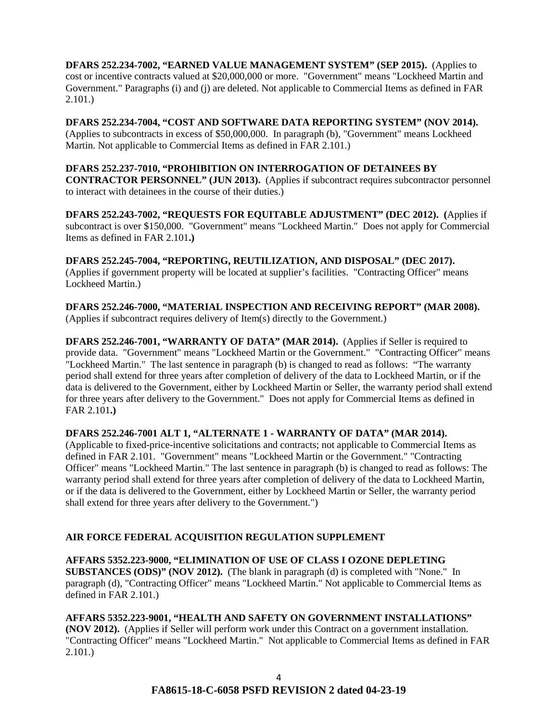**DFARS 252.234-7002, "EARNED VALUE MANAGEMENT SYSTEM" (SEP 2015).** (Applies to cost or incentive contracts valued at \$20,000,000 or more. "Government" means "Lockheed Martin and Government." Paragraphs (i) and (j) are deleted. Not applicable to Commercial Items as defined in FAR 2.101.)

**DFARS 252.234-7004, "COST AND SOFTWARE DATA REPORTING SYSTEM" (NOV 2014).** (Applies to subcontracts in excess of \$50,000,000. In paragraph (b), "Government" means Lockheed Martin. Not applicable to Commercial Items as defined in FAR 2.101.)

### **DFARS 252.237-7010, "PROHIBITION ON INTERROGATION OF DETAINEES BY CONTRACTOR PERSONNEL" (JUN 2013).** (Applies if subcontract requires subcontractor personnel to interact with detainees in the course of their duties.)

**DFARS 252.243-7002, "REQUESTS FOR EQUITABLE ADJUSTMENT" (DEC 2012). (**Applies if subcontract is over \$150,000. "Government" means "Lockheed Martin." Does not apply for Commercial Items as defined in FAR 2.101**.)**

**DFARS 252.245-7004, "REPORTING, REUTILIZATION, AND DISPOSAL" (DEC 2017).** (Applies if government property will be located at supplier's facilities. "Contracting Officer" means Lockheed Martin.)

**DFARS 252.246-7000, "MATERIAL INSPECTION AND RECEIVING REPORT" (MAR 2008).** (Applies if subcontract requires delivery of Item(s) directly to the Government.)

**DFARS 252.246-7001, "WARRANTY OF DATA" (MAR 2014).** (Applies if Seller is required to provide data. "Government" means "Lockheed Martin or the Government." "Contracting Officer" means "Lockheed Martin." The last sentence in paragraph (b) is changed to read as follows: "The warranty period shall extend for three years after completion of delivery of the data to Lockheed Martin, or if the data is delivered to the Government, either by Lockheed Martin or Seller, the warranty period shall extend for three years after delivery to the Government." Does not apply for Commercial Items as defined in FAR 2.101**.)**

# **DFARS 252.246-7001 ALT 1, "ALTERNATE 1 - WARRANTY OF DATA" (MAR 2014).**

(Applicable to fixed-price-incentive solicitations and contracts; not applicable to Commercial Items as defined in FAR 2.101. "Government" means "Lockheed Martin or the Government." "Contracting Officer" means "Lockheed Martin." The last sentence in paragraph (b) is changed to read as follows: The warranty period shall extend for three years after completion of delivery of the data to Lockheed Martin, or if the data is delivered to the Government, either by Lockheed Martin or Seller, the warranty period shall extend for three years after delivery to the Government.")

# **AIR FORCE FEDERAL ACQUISITION REGULATION SUPPLEMENT**

**AFFARS 5352.223-9000, "ELIMINATION OF USE OF CLASS I OZONE DEPLETING SUBSTANCES (ODS)" (NOV 2012).** (The blank in paragraph (d) is completed with "None." In paragraph (d), "Contracting Officer" means "Lockheed Martin." Not applicable to Commercial Items as defined in FAR 2.101.)

# **AFFARS 5352.223-9001, "HEALTH AND SAFETY ON GOVERNMENT INSTALLATIONS"**

**(NOV 2012).** (Applies if Seller will perform work under this Contract on a government installation. "Contracting Officer" means "Lockheed Martin." Not applicable to Commercial Items as defined in FAR 2.101.)